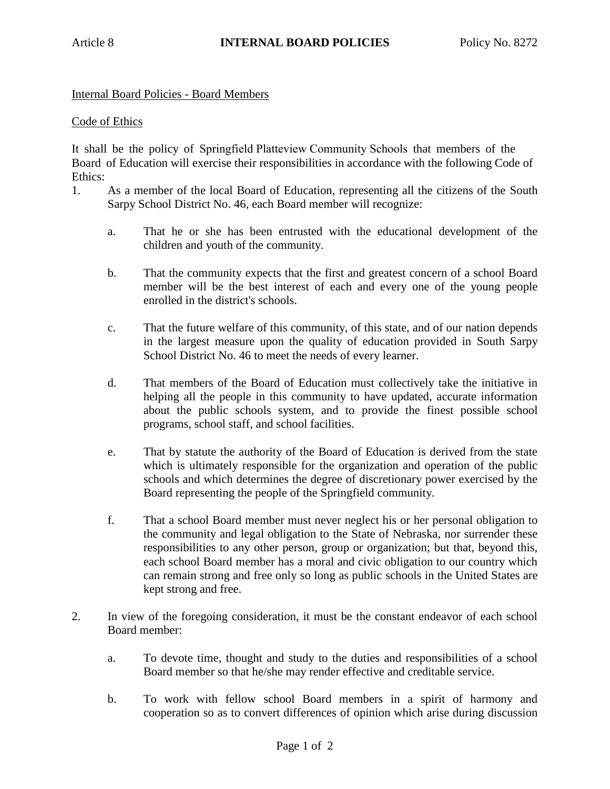## Internal Board Policies - Board Members

## Code of Ethics

It shall be the policy of Springfield Platteview Community Schools that members of the Board of Education will exercise their responsibilities in accordance with the following Code of Ethics:

- 1. As a member of the local Board of Education, representing all the citizens of the South Sarpy School District No. 46, each Board member will recognize:
	- a. That he or she has been entrusted with the educational development of the children and youth of the community.
	- b. That the community expects that the first and greatest concern of a school Board member will be the best interest of each and every one of the young people enrolled in the district's schools.
	- c. That the future welfare of this community, of this state, and of our nation depends in the largest measure upon the quality of education provided in South Sarpy School District No. 46 to meet the needs of every learner.
	- d. That members of the Board of Education must collectively take the initiative in helping all the people in this community to have updated, accurate information about the public schools system, and to provide the finest possible school programs, school staff, and school facilities.
	- e. That by statute the authority of the Board of Education is derived from the state which is ultimately responsible for the organization and operation of the public schools and which determines the degree of discretionary power exercised by the Board representing the people of the Springfield community.
	- f. That a school Board member must never neglect his or her personal obligation to the community and legal obligation to the State of Nebraska, nor surrender these responsibilities to any other person, group or organization; but that, beyond this, each school Board member has a moral and civic obligation to our country which can remain strong and free only so long as public schools in the United States are kept strong and free.
- 2. In view of the foregoing consideration, it must be the constant endeavor of each school Board member:
	- a. To devote time, thought and study to the duties and responsibilities of a school Board member so that he/she may render effective and creditable service.
	- b. To work with fellow school Board members in a spirit of harmony and cooperation so as to convert differences of opinion which arise during discussion